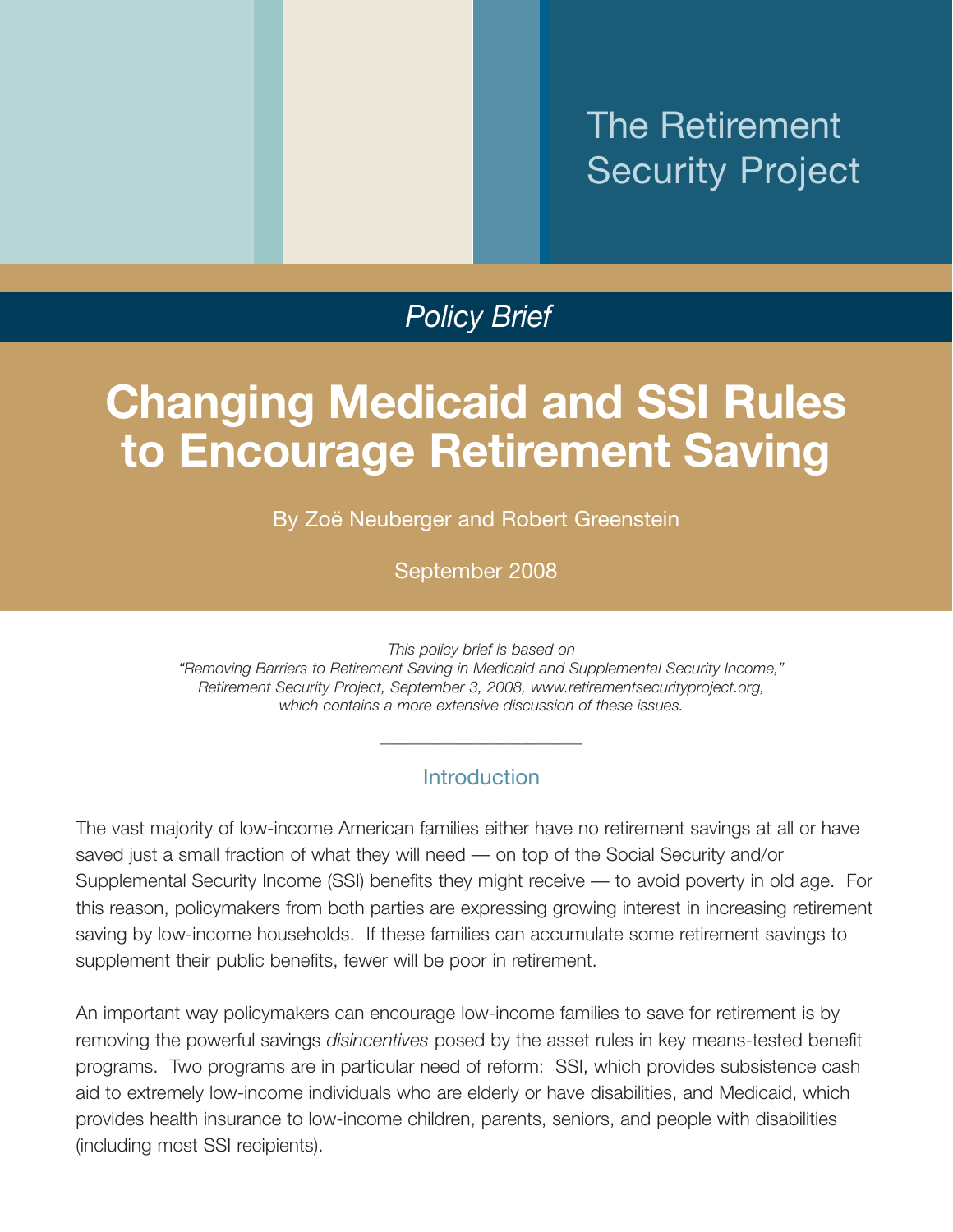# The Retirement Security Project

# *Policy Brief*

# **Changing Medicaid and SSI Rules to Encourage Retirement Saving**

By Zoë Neuberger and Robert Greenstein

September 2008

*This policy brief is based on*

*"Removing Barriers to Retirement Saving in Medicaid and Supplemental Security Income," Retirement Security Project, September 3, 2008, www.retirementsecurityproject.org, which contains a more extensive discussion of these issues.*

## **Introduction**

*\_\_\_\_\_\_\_\_\_\_\_\_\_\_\_\_\_\_\_\_\_\_\_\_\_\_*

The vast majority of low-income American families either have no retirement savings at all or have saved just a small fraction of what they will need — on top of the Social Security and/or Supplemental Security Income (SSI) benefits they might receive — to avoid poverty in old age. For this reason, policymakers from both parties are expressing growing interest in increasing retirement saving by low-income households. If these families can accumulate some retirement savings to supplement their public benefits, fewer will be poor in retirement.

An important way policymakers can encourage low-income families to save for retirement is by removing the powerful savings *disincentives* posed by the asset rules in key means-tested benefit programs. Two programs are in particular need of reform: SSI, which provides subsistence cash aid to extremely low-income individuals who are elderly or have disabilities, and Medicaid, which provides health insurance to low-income children, parents, seniors, and people with disabilities (including most SSI recipients).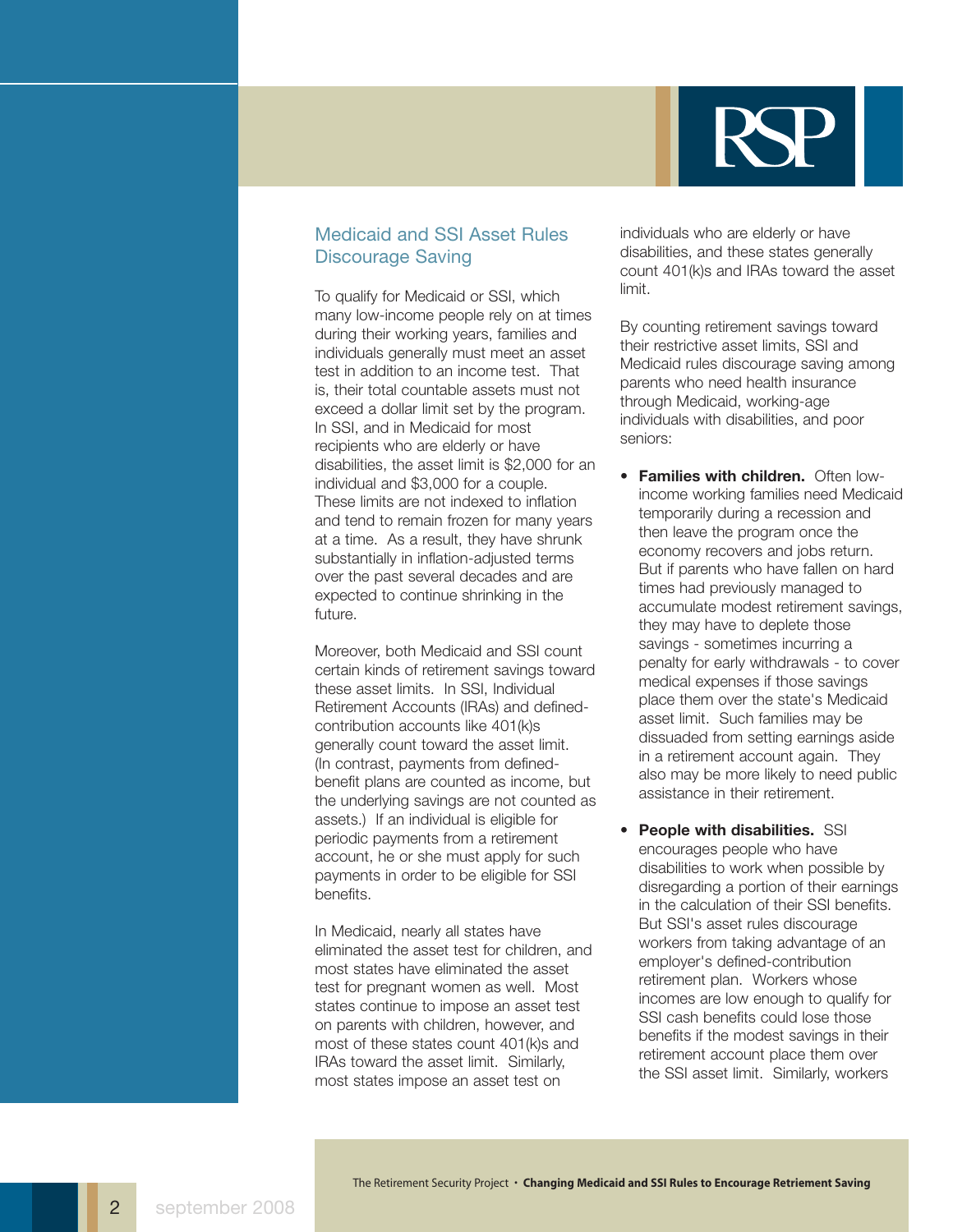

## Medicaid and SSI Asset Rules Discourage Saving

To qualify for Medicaid or SSI, which many low-income people rely on at times during their working years, families and individuals generally must meet an asset test in addition to an income test. That is, their total countable assets must not exceed a dollar limit set by the program. In SSI, and in Medicaid for most recipients who are elderly or have disabilities, the asset limit is \$2,000 for an individual and \$3,000 for a couple. These limits are not indexed to inflation and tend to remain frozen for many years at a time. As a result, they have shrunk substantially in inflation-adjusted terms over the past several decades and are expected to continue shrinking in the future.

Moreover, both Medicaid and SSI count certain kinds of retirement savings toward these asset limits. In SSI, Individual Retirement Accounts (IRAs) and definedcontribution accounts like 401(k)s generally count toward the asset limit. (In contrast, payments from definedbenefit plans are counted as income, but the underlying savings are not counted as assets.) If an individual is eligible for periodic payments from a retirement account, he or she must apply for such payments in order to be eligible for SSI benefits.

In Medicaid, nearly all states have eliminated the asset test for children, and most states have eliminated the asset test for pregnant women as well. Most states continue to impose an asset test on parents with children, however, and most of these states count 401(k)s and IRAs toward the asset limit. Similarly, most states impose an asset test on

individuals who are elderly or have disabilities, and these states generally count 401(k)s and IRAs toward the asset limit.

By counting retirement savings toward their restrictive asset limits, SSI and Medicaid rules discourage saving among parents who need health insurance through Medicaid, working-age individuals with disabilities, and poor seniors:

- **Families with children.** Often lowincome working families need Medicaid temporarily during a recession and then leave the program once the economy recovers and jobs return. But if parents who have fallen on hard times had previously managed to accumulate modest retirement savings, they may have to deplete those savings - sometimes incurring a penalty for early withdrawals - to cover medical expenses if those savings place them over the state's Medicaid asset limit. Such families may be dissuaded from setting earnings aside in a retirement account again. They also may be more likely to need public assistance in their retirement.
- **People with disabilities.** SSI encourages people who have disabilities to work when possible by disregarding a portion of their earnings in the calculation of their SSI benefits. But SSI's asset rules discourage workers from taking advantage of an employer's defined-contribution retirement plan. Workers whose incomes are low enough to qualify for SSI cash benefits could lose those benefits if the modest savings in their retirement account place them over the SSI asset limit. Similarly, workers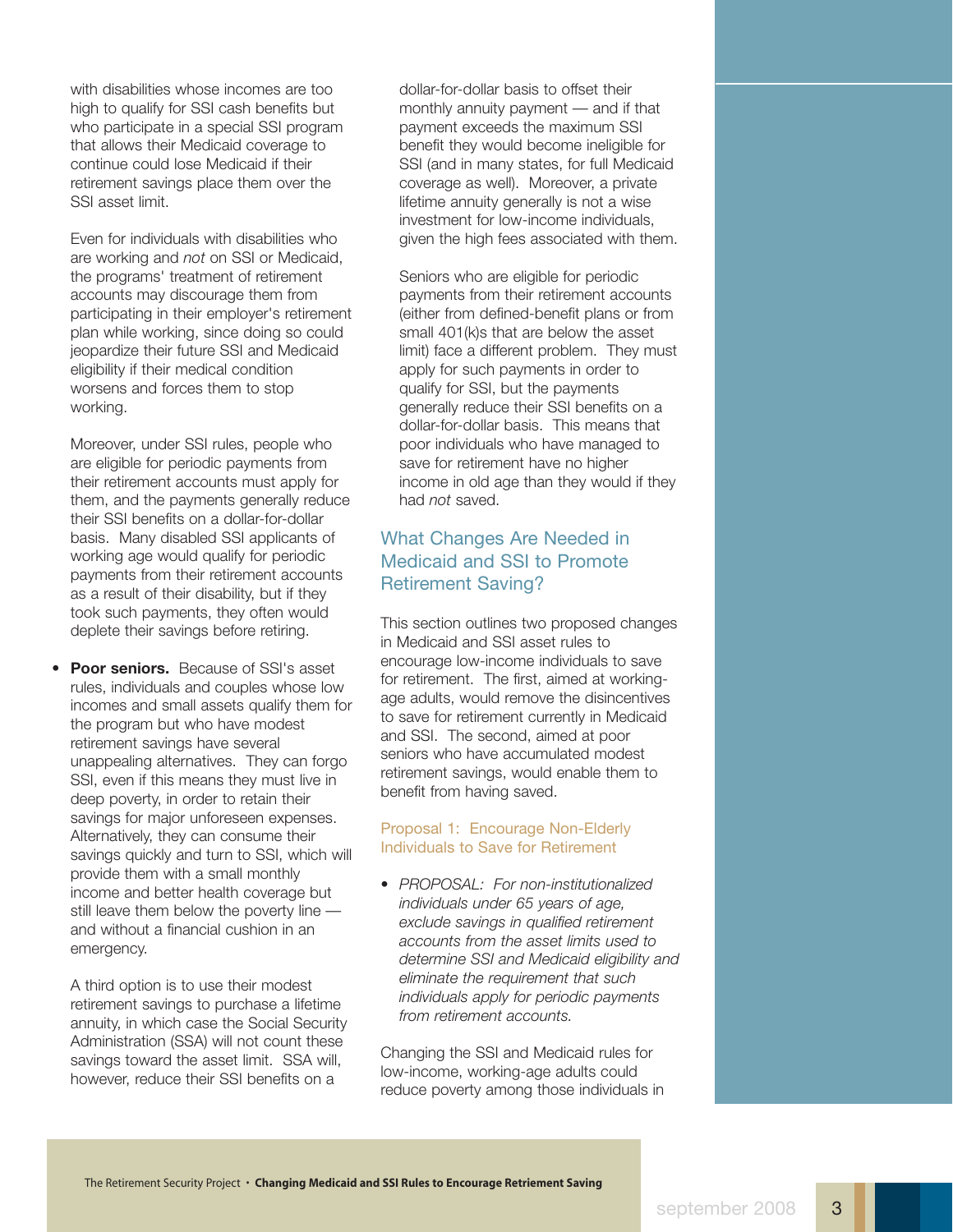with disabilities whose incomes are too high to qualify for SSI cash benefits but who participate in a special SSI program that allows their Medicaid coverage to continue could lose Medicaid if their retirement savings place them over the SSI asset limit.

Even for individuals with disabilities who are working and *not* on SSI or Medicaid, the programs' treatment of retirement accounts may discourage them from participating in their employer's retirement plan while working, since doing so could jeopardize their future SSI and Medicaid eligibility if their medical condition worsens and forces them to stop working.

Moreover, under SSI rules, people who are eligible for periodic payments from their retirement accounts must apply for them, and the payments generally reduce their SSI benefits on a dollar-for-dollar basis. Many disabled SSI applicants of working age would qualify for periodic payments from their retirement accounts as a result of their disability, but if they took such payments, they often would deplete their savings before retiring.

• **Poor seniors.** Because of SSI's asset rules, individuals and couples whose low incomes and small assets qualify them for the program but who have modest retirement savings have several unappealing alternatives. They can forgo SSI, even if this means they must live in deep poverty, in order to retain their savings for major unforeseen expenses. Alternatively, they can consume their savings quickly and turn to SSI, which will provide them with a small monthly income and better health coverage but still leave them below the poverty line and without a financial cushion in an emergency.

A third option is to use their modest retirement savings to purchase a lifetime annuity, in which case the Social Security Administration (SSA) will not count these savings toward the asset limit. SSA will, however, reduce their SSI benefits on a

dollar-for-dollar basis to offset their monthly annuity payment — and if that payment exceeds the maximum SSI benefit they would become ineligible for SSI (and in many states, for full Medicaid coverage as well). Moreover, a private lifetime annuity generally is not a wise investment for low-income individuals, given the high fees associated with them.

Seniors who are eligible for periodic payments from their retirement accounts (either from defined-benefit plans or from small 401(k)s that are below the asset limit) face a different problem. They must apply for such payments in order to qualify for SSI, but the payments generally reduce their SSI benefits on a dollar-for-dollar basis. This means that poor individuals who have managed to save for retirement have no higher income in old age than they would if they had *not* saved.

### What Changes Are Needed in Medicaid and SSI to Promote Retirement Saving?

This section outlines two proposed changes in Medicaid and SSI asset rules to encourage low-income individuals to save for retirement. The first, aimed at workingage adults, would remove the disincentives to save for retirement currently in Medicaid and SSI. The second, aimed at poor seniors who have accumulated modest retirement savings, would enable them to benefit from having saved.

#### Proposal 1: Encourage Non-Elderly Individuals to Save for Retirement

• *PROPOSAL: For non-institutionalized individuals under 65 years of age, exclude savings in qualified retirement accounts from the asset limits used to determine SSI and Medicaid eligibility and eliminate the requirement that such individuals apply for periodic payments from retirement accounts.*

Changing the SSI and Medicaid rules for low-income, working-age adults could reduce poverty among those individuals in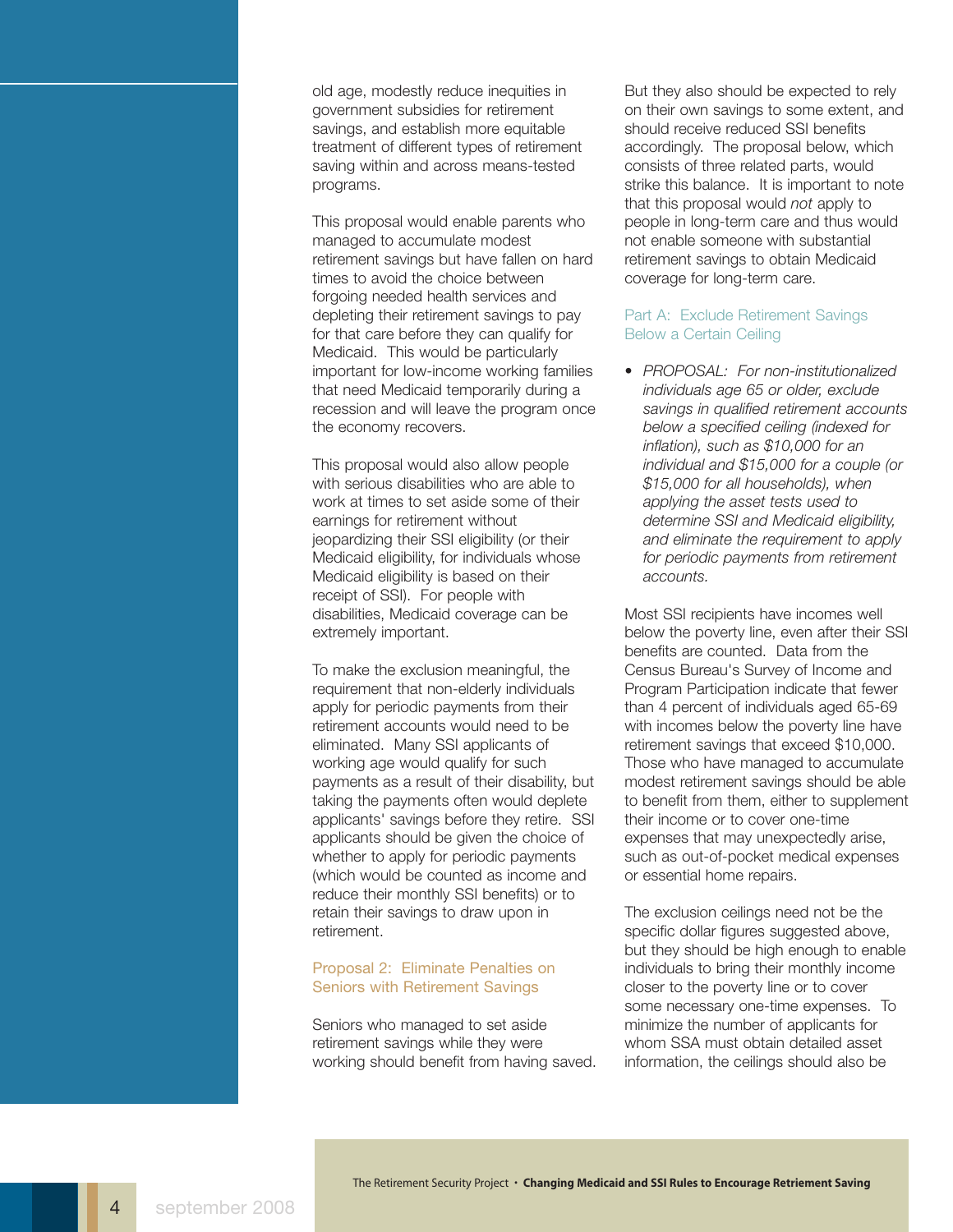old age, modestly reduce inequities in government subsidies for retirement savings, and establish more equitable treatment of different types of retirement saving within and across means-tested programs.

This proposal would enable parents who managed to accumulate modest retirement savings but have fallen on hard times to avoid the choice between forgoing needed health services and depleting their retirement savings to pay for that care before they can qualify for Medicaid. This would be particularly important for low-income working families that need Medicaid temporarily during a recession and will leave the program once the economy recovers.

This proposal would also allow people with serious disabilities who are able to work at times to set aside some of their earnings for retirement without jeopardizing their SSI eligibility (or their Medicaid eligibility, for individuals whose Medicaid eligibility is based on their receipt of SSI). For people with disabilities, Medicaid coverage can be extremely important.

To make the exclusion meaningful, the requirement that non-elderly individuals apply for periodic payments from their retirement accounts would need to be eliminated. Many SSI applicants of working age would qualify for such payments as a result of their disability, but taking the payments often would deplete applicants' savings before they retire. SSI applicants should be given the choice of whether to apply for periodic payments (which would be counted as income and reduce their monthly SSI benefits) or to retain their savings to draw upon in retirement.

#### Proposal 2: Eliminate Penalties on Seniors with Retirement Savings

Seniors who managed to set aside retirement savings while they were working should benefit from having saved.

But they also should be expected to rely on their own savings to some extent, and should receive reduced SSI benefits accordingly. The proposal below, which consists of three related parts, would strike this balance. It is important to note that this proposal would *not* apply to people in long-term care and thus would not enable someone with substantial retirement savings to obtain Medicaid coverage for long-term care.

#### Part A: Exclude Retirement Savings Below a Certain Ceiling

• *PROPOSAL: For non-institutionalized individuals age 65 or older, exclude savings in qualified retirement accounts below a specified ceiling (indexed for inflation), such as \$10,000 for an individual and \$15,000 for a couple (or \$15,000 for all households), when applying the asset tests used to determine SSI and Medicaid eligibility, and eliminate the requirement to apply for periodic payments from retirement accounts.*

Most SSI recipients have incomes well below the poverty line, even after their SSI benefits are counted. Data from the Census Bureau's Survey of Income and Program Participation indicate that fewer than 4 percent of individuals aged 65-69 with incomes below the poverty line have retirement savings that exceed \$10,000. Those who have managed to accumulate modest retirement savings should be able to benefit from them, either to supplement their income or to cover one-time expenses that may unexpectedly arise, such as out-of-pocket medical expenses or essential home repairs.

The exclusion ceilings need not be the specific dollar figures suggested above, but they should be high enough to enable individuals to bring their monthly income closer to the poverty line or to cover some necessary one-time expenses. To minimize the number of applicants for whom SSA must obtain detailed asset information, the ceilings should also be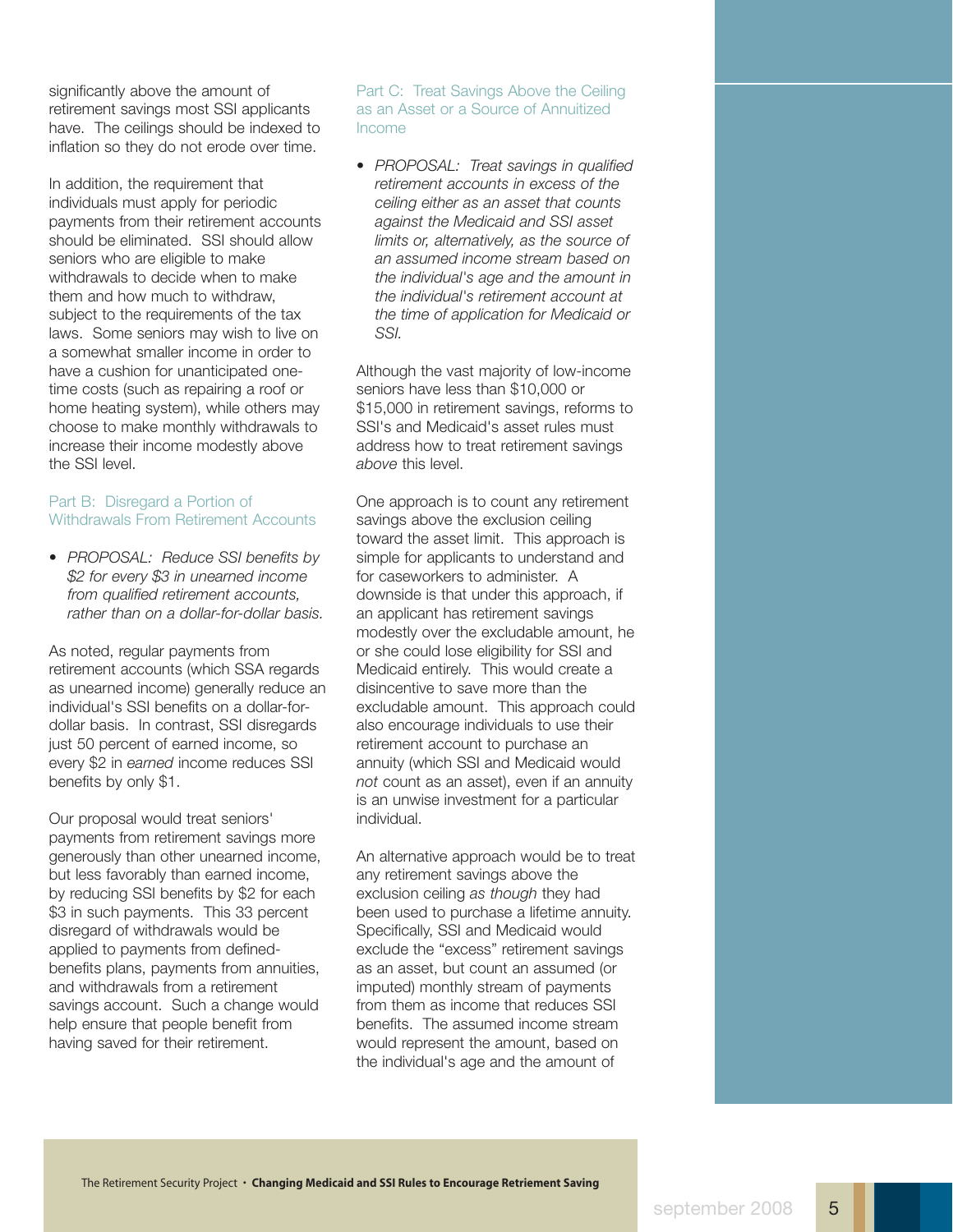significantly above the amount of retirement savings most SSI applicants have. The ceilings should be indexed to inflation so they do not erode over time.

In addition, the requirement that individuals must apply for periodic payments from their retirement accounts should be eliminated. SSI should allow seniors who are eligible to make withdrawals to decide when to make them and how much to withdraw, subject to the requirements of the tax laws. Some seniors may wish to live on a somewhat smaller income in order to have a cushion for unanticipated onetime costs (such as repairing a roof or home heating system), while others may choose to make monthly withdrawals to increase their income modestly above the SSI level.

#### Part B: Disregard a Portion of Withdrawals From Retirement Accounts

• *PROPOSAL: Reduce SSI benefits by \$2 for every \$3 in unearned income from qualified retirement accounts, rather than on a dollar-for-dollar basis.*

As noted, regular payments from retirement accounts (which SSA regards as unearned income) generally reduce an individual's SSI benefits on a dollar-fordollar basis. In contrast, SSI disregards just 50 percent of earned income, so every \$2 in *earned* income reduces SSI benefits by only \$1.

Our proposal would treat seniors' payments from retirement savings more generously than other unearned income, but less favorably than earned income, by reducing SSI benefits by \$2 for each \$3 in such payments. This 33 percent disregard of withdrawals would be applied to payments from definedbenefits plans, payments from annuities, and withdrawals from a retirement savings account. Such a change would help ensure that people benefit from having saved for their retirement.

#### Part C: Treat Savings Above the Ceiling as an Asset or a Source of Annuitized Income

• *PROPOSAL: Treat savings in qualified retirement accounts in excess of the ceiling either as an asset that counts against the Medicaid and SSI asset limits or, alternatively, as the source of an assumed income stream based on the individual's age and the amount in the individual's retirement account at the time of application for Medicaid or SSI.*

Although the vast majority of low-income seniors have less than \$10,000 or \$15,000 in retirement savings, reforms to SSI's and Medicaid's asset rules must address how to treat retirement savings *above* this level.

One approach is to count any retirement savings above the exclusion ceiling toward the asset limit. This approach is simple for applicants to understand and for caseworkers to administer. A downside is that under this approach, if an applicant has retirement savings modestly over the excludable amount, he or she could lose eligibility for SSI and Medicaid entirely. This would create a disincentive to save more than the excludable amount. This approach could also encourage individuals to use their retirement account to purchase an annuity (which SSI and Medicaid would *not* count as an asset), even if an annuity is an unwise investment for a particular individual.

An alternative approach would be to treat any retirement savings above the exclusion ceiling *as though* they had been used to purchase a lifetime annuity. Specifically, SSI and Medicaid would exclude the "excess" retirement savings as an asset, but count an assumed (or imputed) monthly stream of payments from them as income that reduces SSI benefits. The assumed income stream would represent the amount, based on the individual's age and the amount of